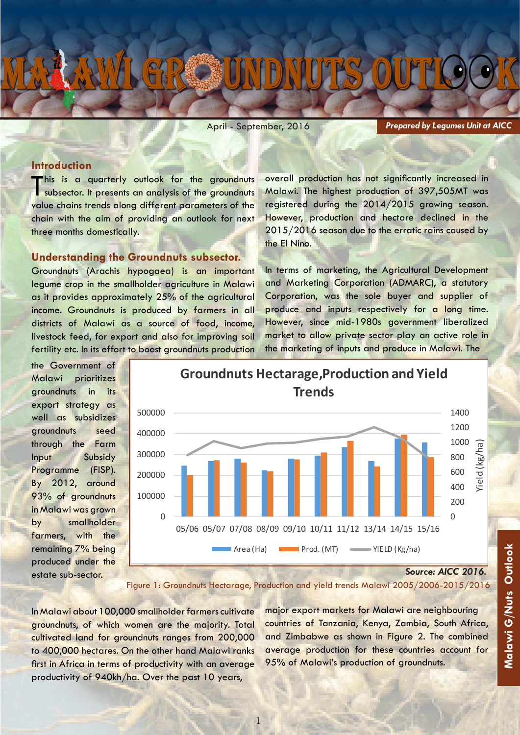April - September, 2016

*Prepared by Legumes Unit at AICC*

# **Introduction**

This is a quarterly outlook for the groundnuts subsector. It presents an analysis of the groundnuts value chains trends along different parameters of the chain with the aim of providing an outlook for next three months domestically.

# **Understanding the Groundnuts subsector.**

Groundnuts (Arachis hypogaea) is an important legume crop in the smallholder agriculture in Malawi as it provides approximately 25% of the agricultural income. Groundnuts is produced by farmers in all districts of Malawi as a source of food, income, livestock feed, for export and also for improving soil fertility etc. In its effort to boost groundnuts production overall production has not significantly increased in Malawi. The highest production of 397,505MT was registered during the 2014/2015 growing season. However, production and hectare declined in the 2015/2016 season due to the erratic rains caused by the El Nino.

In terms of marketing, the Agricultural Development and Marketing Corporation (ADMARC), a statutory Corporation, was the sole buyer and supplier of produce and inputs respectively for a long time. However, since mid-1980s government liberalized market to allow private sector play an active role in the marketing of inputs and produce in Malawi. The

the Government of Malawi prioritizes groundnuts in its export strategy as well as subsidizes groundnuts seed through the Farm Input Subsidy Programme (FISP). By 2012, around 93% of groundnuts in Malawi was grown by smallholder farmers, with the remaining 7% being produced under the estate sub-sector.



**Groundnuts Hectarage,Production and Yield Trends**

*Source: AICC 2016.*

Figure 1: Groundnuts Hectarage, Production and yield trends Malawi 2005/2006-2015/2016

1

In Malawi about 100,000 smallholder farmers cultivate groundnuts, of which women are the majority. Total cultivated land for groundnuts ranges from 200,000 to 400,000 hectares. On the other hand Malawi ranks first in Africa in terms of productivity with an average productivity of 940kh/ha. Over the past 10 years,

major export markets for Malawi are neighbouring countries of Tanzania, Kenya, Zambia, South Africa, and Zimbabwe as shown in Figure 2. The combined average production for these countries account for 95% of Malawi's production of groundnuts.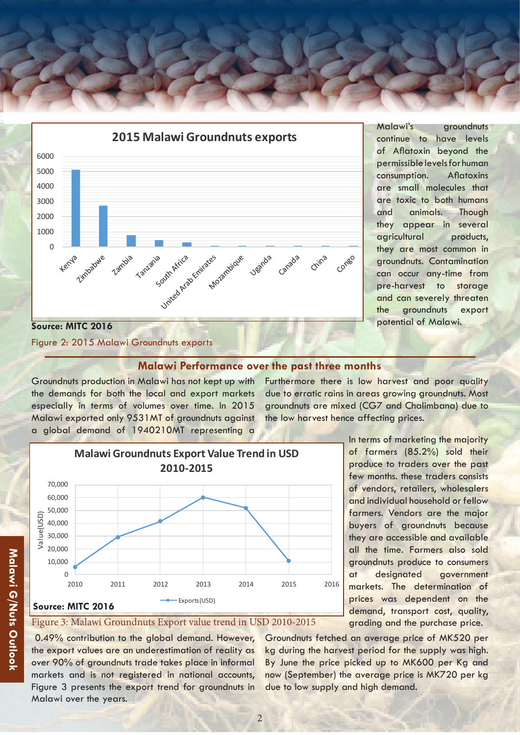



Malawi's groundnuts continue to have levels of Aflatoxin beyond the permissible levels for human consumption. Aflatoxins are small molecules that are toxic to both humans and animals. Though they appear in several agricultural products, they are most common in groundnuts. Contamination can occur any-time from pre-harvest to storage and can severely threaten the groundnuts export

# Figure 2: 2015 Malawi Groundnuts exports

# **Malawi Performance over the past three months**

Groundnuts production in Malawi has not kept up with the demands for both the local and export markets especially in terms of volumes over time. In 2015 Malawi exported only 9531MT of groundnuts against a global demand of 1940210MT representing a

Furthermore there is low harvest and poor quality due to erratic rains in areas growing groundnuts. Most groundnuts are mixed (CG7 and Chalimbana) due to the low harvest hence affecting prices.

> In terms of marketing the majority of farmers (85.2%) sold their produce to traders over the past few months. these traders consists of vendors, retailers, wholesalers and individual household or fellow farmers. Vendors are the major buyers of groundnuts because they are accessible and available all the time. Farmers also sold groundnuts produce to consumers at designated government markets. The determination of prices was dependent on the demand, transport cost, quality, grading and the purchase price.

# Malawi G/Nuts Outlook **Malawi G/Nuts Outlook**

# **Source: MITC 2016**

 $\Omega$ 10,000 20,000 30,000 40,000 50,000 60,000 70,000

Value(USD)

ue(USD)  $\overline{5}$ 

Figure 3: Malawi Groundnuts Export value trend in USD 2010-2015

2010 2011 2012 2013 2014 2015 2016

Exports(USD)

**Malawi Groundnuts Export Value Trend in USD 2010-2015**

 0.49% contribution to the global demand. However, the export values are an underestimation of reality as over 90% of groundnuts trade takes place in informal markets and is not registered in national accounts, Figure 3 presents the export trend for groundnuts in Malawi over the years.

Groundnuts fetched an average price of MK520 per kg during the harvest period for the supply was high. By June the price picked up to MK600 per Kg and now (September) the average price is MK720 per kg due to low supply and high demand.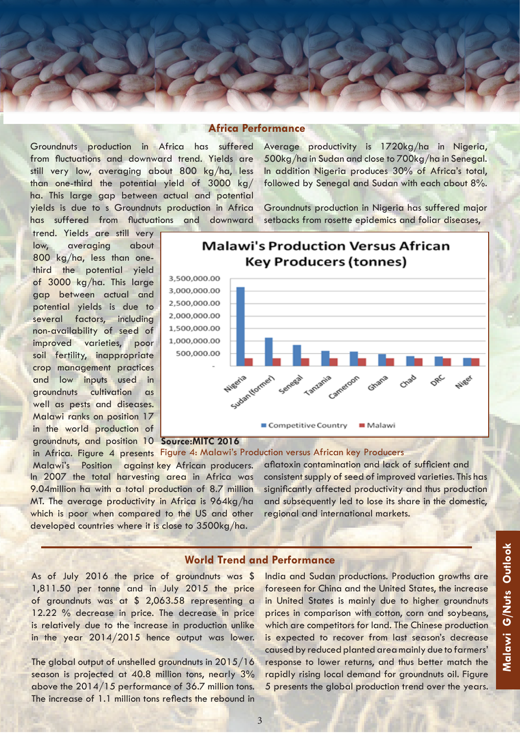### **Africa Performance**

Groundnuts production in Africa has suffered from fluctuations and downward trend. Yields are still very low, averaging about 800 kg/ha, less than one-third the potential yield of 3000 kg/ ha. This large gap between actual and potential yields is due to s Groundnuts production in Africa has suffered from fluctuations and downward Average productivity is 1720kg/ha in Nigeria, 500kg/ha in Sudan and close to 700kg/ha in Senegal. In addition Nigeria produces 30% of Africa's total, followed by Senegal and Sudan with each about 8%.

Groundnuts production in Nigeria has suffered major setbacks from rosette epidemics and foliar diseases,

groundnuts, and position 10 Source: MITC 2016 trend. Yields are still very low, averaging about 800 kg/ha, less than onethird the potential yield of 3000 kg/ha. This large gap between actual and potential yields is due to several factors, including non-availability of seed of improved varieties, poor soil fertility, inappropriate crop management practices and low inputs used in groundnuts cultivation as well as pests and diseases. Malawi ranks on position 17 in the world production of



**Malawi's Production Versus African** 

In 2007 the total harvesting area in Africa was 9.04million ha with a total production of 8.7 million MT. The average productivity in Africa is 964kg/ha which is poor when compared to the US and other developed countries where it is close to 3500kg/ha. in Africa. Figure 4 presents Figure 4: Malawi's Production versus African key Producers Malawi's Position against key African producers.

aflatoxin contamination and lack of sufficient and consistent supply of seed of improved varieties. This has significantly affected productivity and thus production and subsequently led to lose its share in the domestic, regional and international markets.

## **World Trend and Performance**

As of July 2016 the price of groundnuts was \$ 1,811.50 per tonne and in July 2015 the price of groundnuts was at \$ 2,063.58 representing a 12.22 % decrease in price. The decrease in price is relatively due to the increase in production unlike in the year 2014/2015 hence output was lower.

The global output of unshelled groundnuts in 2015/16 season is projected at 40.8 million tons, nearly 3% above the 2014/15 performance of 36.7 million tons. The increase of 1.1 million tons reflects the rebound in

India and Sudan productions. Production growths are foreseen for China and the United States, the increase in United States is mainly due to higher groundnuts prices in comparison with cotton, corn and soybeans, which are competitors for land. The Chinese production is expected to recover from last season's decrease caused by reduced planted area mainly due to farmers' response to lower returns, and thus better match the rapidly rising local demand for groundnuts oil. Figure 5 presents the global production trend over the years.